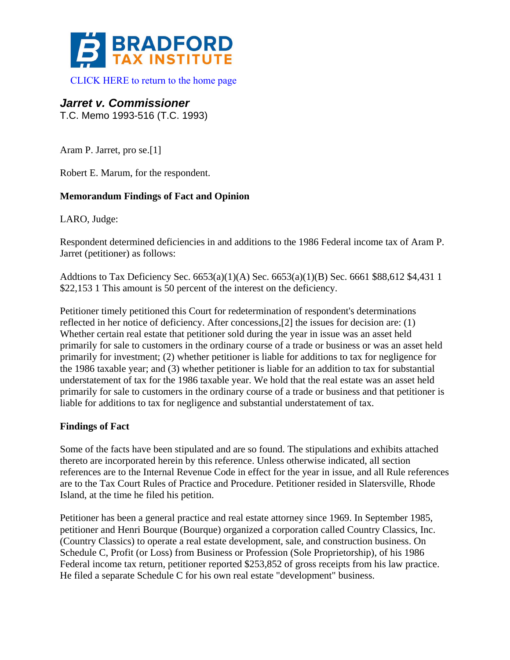

## *Jarret v. Commissioner*

T.C. Memo 1993-516 (T.C. 1993)

Aram P. Jarret, pro se.[1]

Robert E. Marum, for the respondent.

## **Memorandum Findings of Fact and Opinion**

LARO, Judge:

Respondent determined deficiencies in and additions to the 1986 Federal income tax of Aram P. Jarret (petitioner) as follows:

Addtions to Tax Deficiency Sec. 6653(a)(1)(A) Sec. 6653(a)(1)(B) Sec. 6661 \$88,612 \$4,431 1 \$22,153 1 This amount is 50 percent of the interest on the deficiency.

Petitioner timely petitioned this Court for redetermination of respondent's determinations reflected in her notice of deficiency. After concessions,[2] the issues for decision are: (1) Whether certain real estate that petitioner sold during the year in issue was an asset held primarily for sale to customers in the ordinary course of a trade or business or was an asset held primarily for investment; (2) whether petitioner is liable for additions to tax for negligence for the 1986 taxable year; and (3) whether petitioner is liable for an addition to tax for substantial understatement of tax for the 1986 taxable year. We hold that the real estate was an asset held primarily for sale to customers in the ordinary course of a trade or business and that petitioner is liable for additions to tax for negligence and substantial understatement of tax.

## **Findings of Fact**

Some of the facts have been stipulated and are so found. The stipulations and exhibits attached thereto are incorporated herein by this reference. Unless otherwise indicated, all section references are to the Internal Revenue Code in effect for the year in issue, and all Rule references are to the Tax Court Rules of Practice and Procedure. Petitioner resided in Slatersville, Rhode Island, at the time he filed his petition.

Petitioner has been a general practice and real estate attorney since 1969. In September 1985, petitioner and Henri Bourque (Bourque) organized a corporation called Country Classics, Inc. (Country Classics) to operate a real estate development, sale, and construction business. On Schedule C, Profit (or Loss) from Business or Profession (Sole Proprietorship), of his 1986 Federal income tax return, petitioner reported \$253,852 of gross receipts from his law practice. He filed a separate Schedule C for his own real estate "development" business.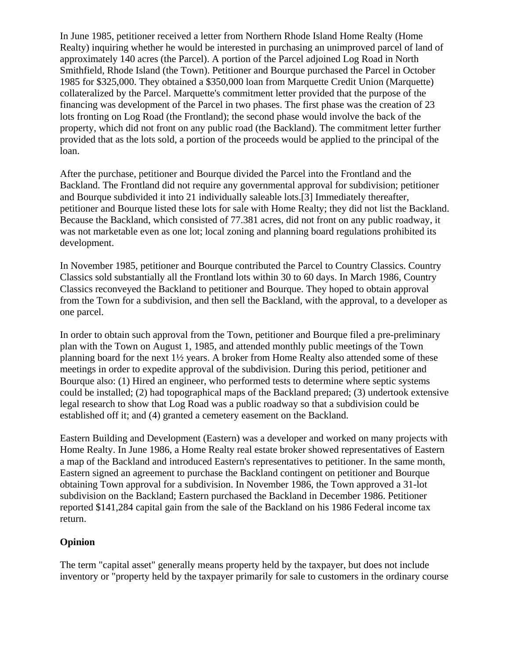In June 1985, petitioner received a letter from Northern Rhode Island Home Realty (Home Realty) inquiring whether he would be interested in purchasing an unimproved parcel of land of approximately 140 acres (the Parcel). A portion of the Parcel adjoined Log Road in North Smithfield, Rhode Island (the Town). Petitioner and Bourque purchased the Parcel in October 1985 for \$325,000. They obtained a \$350,000 loan from Marquette Credit Union (Marquette) collateralized by the Parcel. Marquette's commitment letter provided that the purpose of the financing was development of the Parcel in two phases. The first phase was the creation of 23 lots fronting on Log Road (the Frontland); the second phase would involve the back of the property, which did not front on any public road (the Backland). The commitment letter further provided that as the lots sold, a portion of the proceeds would be applied to the principal of the loan.

After the purchase, petitioner and Bourque divided the Parcel into the Frontland and the Backland. The Frontland did not require any governmental approval for subdivision; petitioner and Bourque subdivided it into 21 individually saleable lots.[3] Immediately thereafter, petitioner and Bourque listed these lots for sale with Home Realty; they did not list the Backland. Because the Backland, which consisted of 77.381 acres, did not front on any public roadway, it was not marketable even as one lot; local zoning and planning board regulations prohibited its development.

In November 1985, petitioner and Bourque contributed the Parcel to Country Classics. Country Classics sold substantially all the Frontland lots within 30 to 60 days. In March 1986, Country Classics reconveyed the Backland to petitioner and Bourque. They hoped to obtain approval from the Town for a subdivision, and then sell the Backland, with the approval, to a developer as one parcel.

In order to obtain such approval from the Town, petitioner and Bourque filed a pre-preliminary plan with the Town on August 1, 1985, and attended monthly public meetings of the Town planning board for the next 1½ years. A broker from Home Realty also attended some of these meetings in order to expedite approval of the subdivision. During this period, petitioner and Bourque also: (1) Hired an engineer, who performed tests to determine where septic systems could be installed; (2) had topographical maps of the Backland prepared; (3) undertook extensive legal research to show that Log Road was a public roadway so that a subdivision could be established off it; and (4) granted a cemetery easement on the Backland.

Eastern Building and Development (Eastern) was a developer and worked on many projects with Home Realty. In June 1986, a Home Realty real estate broker showed representatives of Eastern a map of the Backland and introduced Eastern's representatives to petitioner. In the same month, Eastern signed an agreement to purchase the Backland contingent on petitioner and Bourque obtaining Town approval for a subdivision. In November 1986, the Town approved a 31-lot subdivision on the Backland; Eastern purchased the Backland in December 1986. Petitioner reported \$141,284 capital gain from the sale of the Backland on his 1986 Federal income tax return.

## **Opinion**

The term "capital asset" generally means property held by the taxpayer, but does not include inventory or "property held by the taxpayer primarily for sale to customers in the ordinary course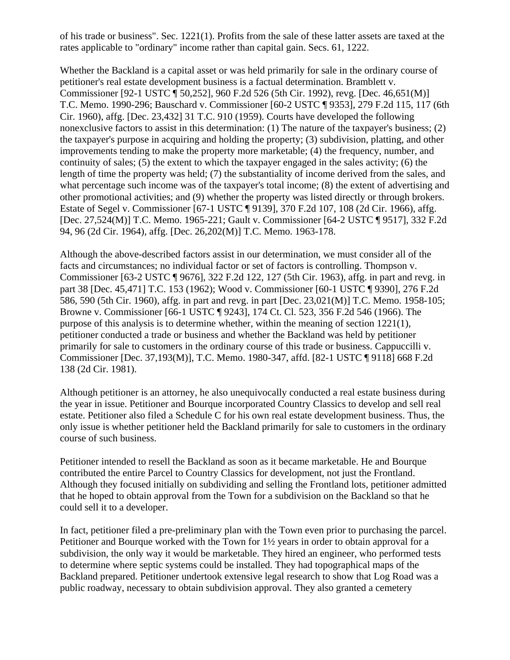of his trade or business". Sec. 1221(1). Profits from the sale of these latter assets are taxed at the rates applicable to "ordinary" income rather than capital gain. Secs. 61, 1222.

Whether the Backland is a capital asset or was held primarily for sale in the ordinary course of petitioner's real estate development business is a factual determination. Bramblett v. Commissioner [92-1 USTC ¶ 50,252], 960 F.2d 526 (5th Cir. 1992), revg. [Dec. 46,651(M)] T.C. Memo. 1990-296; Bauschard v. Commissioner [60-2 USTC ¶ 9353], 279 F.2d 115, 117 (6th Cir. 1960), affg. [Dec. 23,432] 31 T.C. 910 (1959). Courts have developed the following nonexclusive factors to assist in this determination: (1) The nature of the taxpayer's business; (2) the taxpayer's purpose in acquiring and holding the property; (3) subdivision, platting, and other improvements tending to make the property more marketable; (4) the frequency, number, and continuity of sales; (5) the extent to which the taxpayer engaged in the sales activity; (6) the length of time the property was held; (7) the substantiality of income derived from the sales, and what percentage such income was of the taxpayer's total income; (8) the extent of advertising and other promotional activities; and (9) whether the property was listed directly or through brokers. Estate of Segel v. Commissioner [67-1 USTC ¶ 9139], 370 F.2d 107, 108 (2d Cir. 1966), affg. [Dec. 27,524(M)] T.C. Memo. 1965-221; Gault v. Commissioner [64-2 USTC ¶ 9517], 332 F.2d 94, 96 (2d Cir. 1964), affg. [Dec. 26,202(M)] T.C. Memo. 1963-178.

Although the above-described factors assist in our determination, we must consider all of the facts and circumstances; no individual factor or set of factors is controlling. Thompson v. Commissioner [63-2 USTC ¶ 9676], 322 F.2d 122, 127 (5th Cir. 1963), affg. in part and revg. in part 38 [Dec. 45,471] T.C. 153 (1962); Wood v. Commissioner [60-1 USTC ¶ 9390], 276 F.2d 586, 590 (5th Cir. 1960), affg. in part and revg. in part [Dec. 23,021(M)] T.C. Memo. 1958-105; Browne v. Commissioner [66-1 USTC ¶ 9243], 174 Ct. Cl. 523, 356 F.2d 546 (1966). The purpose of this analysis is to determine whether, within the meaning of section 1221(1), petitioner conducted a trade or business and whether the Backland was held by petitioner primarily for sale to customers in the ordinary course of this trade or business. Cappuccilli v. Commissioner [Dec. 37,193(M)], T.C. Memo. 1980-347, affd. [82-1 USTC ¶ 9118] 668 F.2d 138 (2d Cir. 1981).

Although petitioner is an attorney, he also unequivocally conducted a real estate business during the year in issue. Petitioner and Bourque incorporated Country Classics to develop and sell real estate. Petitioner also filed a Schedule C for his own real estate development business. Thus, the only issue is whether petitioner held the Backland primarily for sale to customers in the ordinary course of such business.

Petitioner intended to resell the Backland as soon as it became marketable. He and Bourque contributed the entire Parcel to Country Classics for development, not just the Frontland. Although they focused initially on subdividing and selling the Frontland lots, petitioner admitted that he hoped to obtain approval from the Town for a subdivision on the Backland so that he could sell it to a developer.

In fact, petitioner filed a pre-preliminary plan with the Town even prior to purchasing the parcel. Petitioner and Bourque worked with the Town for 1½ years in order to obtain approval for a subdivision, the only way it would be marketable. They hired an engineer, who performed tests to determine where septic systems could be installed. They had topographical maps of the Backland prepared. Petitioner undertook extensive legal research to show that Log Road was a public roadway, necessary to obtain subdivision approval. They also granted a cemetery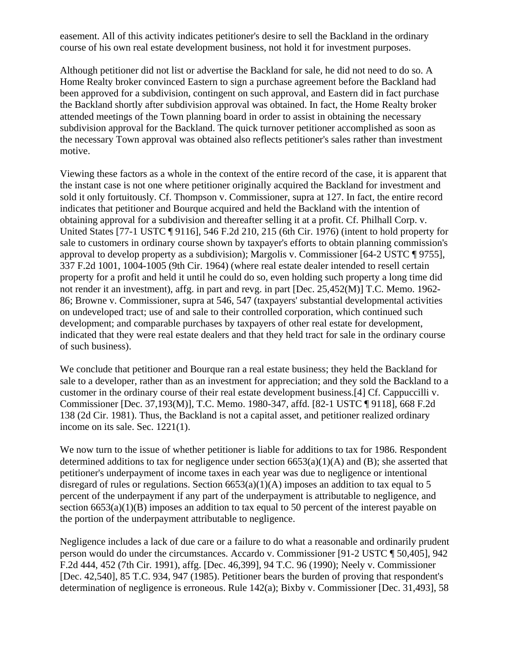easement. All of this activity indicates petitioner's desire to sell the Backland in the ordinary course of his own real estate development business, not hold it for investment purposes.

Although petitioner did not list or advertise the Backland for sale, he did not need to do so. A Home Realty broker convinced Eastern to sign a purchase agreement before the Backland had been approved for a subdivision, contingent on such approval, and Eastern did in fact purchase the Backland shortly after subdivision approval was obtained. In fact, the Home Realty broker attended meetings of the Town planning board in order to assist in obtaining the necessary subdivision approval for the Backland. The quick turnover petitioner accomplished as soon as the necessary Town approval was obtained also reflects petitioner's sales rather than investment motive.

Viewing these factors as a whole in the context of the entire record of the case, it is apparent that the instant case is not one where petitioner originally acquired the Backland for investment and sold it only fortuitously. Cf. Thompson v. Commissioner, supra at 127. In fact, the entire record indicates that petitioner and Bourque acquired and held the Backland with the intention of obtaining approval for a subdivision and thereafter selling it at a profit. Cf. Philhall Corp. v. United States [77-1 USTC ¶ 9116], 546 F.2d 210, 215 (6th Cir. 1976) (intent to hold property for sale to customers in ordinary course shown by taxpayer's efforts to obtain planning commission's approval to develop property as a subdivision); Margolis v. Commissioner [64-2 USTC ¶ 9755], 337 F.2d 1001, 1004-1005 (9th Cir. 1964) (where real estate dealer intended to resell certain property for a profit and held it until he could do so, even holding such property a long time did not render it an investment), affg. in part and revg. in part [Dec. 25,452(M)] T.C. Memo. 1962- 86; Browne v. Commissioner, supra at 546, 547 (taxpayers' substantial developmental activities on undeveloped tract; use of and sale to their controlled corporation, which continued such development; and comparable purchases by taxpayers of other real estate for development, indicated that they were real estate dealers and that they held tract for sale in the ordinary course of such business).

We conclude that petitioner and Bourque ran a real estate business; they held the Backland for sale to a developer, rather than as an investment for appreciation; and they sold the Backland to a customer in the ordinary course of their real estate development business.[4] Cf. Cappuccilli v. Commissioner [Dec. 37,193(M)], T.C. Memo. 1980-347, affd. [82-1 USTC ¶ 9118], 668 F.2d 138 (2d Cir. 1981). Thus, the Backland is not a capital asset, and petitioner realized ordinary income on its sale. Sec. 1221(1).

We now turn to the issue of whether petitioner is liable for additions to tax for 1986. Respondent determined additions to tax for negligence under section  $6653(a)(1)(A)$  and (B); she asserted that petitioner's underpayment of income taxes in each year was due to negligence or intentional disregard of rules or regulations. Section  $6653(a)(1)(A)$  imposes an addition to tax equal to 5 percent of the underpayment if any part of the underpayment is attributable to negligence, and section  $6653(a)(1)(B)$  imposes an addition to tax equal to 50 percent of the interest payable on the portion of the underpayment attributable to negligence.

Negligence includes a lack of due care or a failure to do what a reasonable and ordinarily prudent person would do under the circumstances. Accardo v. Commissioner [91-2 USTC ¶ 50,405], 942 F.2d 444, 452 (7th Cir. 1991), affg. [Dec. 46,399], 94 T.C. 96 (1990); Neely v. Commissioner [Dec. 42,540], 85 T.C. 934, 947 (1985). Petitioner bears the burden of proving that respondent's determination of negligence is erroneous. Rule 142(a); Bixby v. Commissioner [Dec. 31,493], 58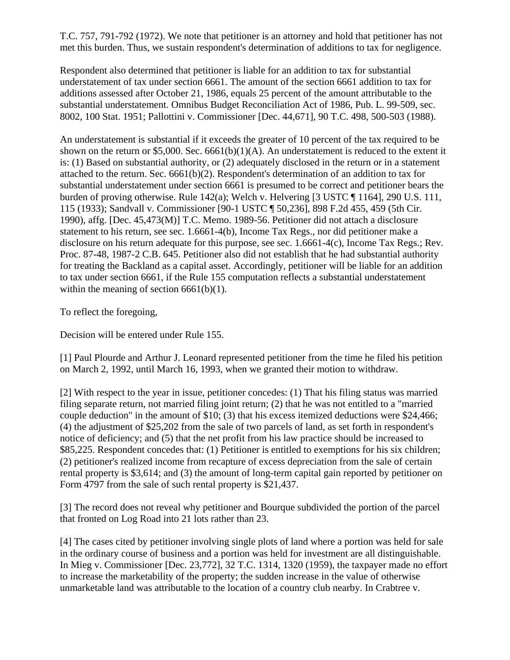T.C. 757, 791-792 (1972). We note that petitioner is an attorney and hold that petitioner has not met this burden. Thus, we sustain respondent's determination of additions to tax for negligence.

Respondent also determined that petitioner is liable for an addition to tax for substantial understatement of tax under section 6661. The amount of the section 6661 addition to tax for additions assessed after October 21, 1986, equals 25 percent of the amount attributable to the substantial understatement. Omnibus Budget Reconciliation Act of 1986, Pub. L. 99-509, sec. 8002, 100 Stat. 1951; Pallottini v. Commissioner [Dec. 44,671], 90 T.C. 498, 500-503 (1988).

An understatement is substantial if it exceeds the greater of 10 percent of the tax required to be shown on the return or  $$5,000$ . Sec.  $6661(b)(1)(A)$ . An understatement is reduced to the extent it is: (1) Based on substantial authority, or (2) adequately disclosed in the return or in a statement attached to the return. Sec. 6661(b)(2). Respondent's determination of an addition to tax for substantial understatement under section 6661 is presumed to be correct and petitioner bears the burden of proving otherwise. Rule 142(a); Welch v. Helvering [3 USTC ¶ 1164], 290 U.S. 111, 115 (1933); Sandvall v. Commissioner [90-1 USTC ¶ 50,236], 898 F.2d 455, 459 (5th Cir. 1990), affg. [Dec. 45,473(M)] T.C. Memo. 1989-56. Petitioner did not attach a disclosure statement to his return, see sec. 1.6661-4(b), Income Tax Regs., nor did petitioner make a disclosure on his return adequate for this purpose, see sec. 1.6661-4(c), Income Tax Regs.; Rev. Proc. 87-48, 1987-2 C.B. 645. Petitioner also did not establish that he had substantial authority for treating the Backland as a capital asset. Accordingly, petitioner will be liable for an addition to tax under section 6661, if the Rule 155 computation reflects a substantial understatement within the meaning of section 6661(b)(1).

To reflect the foregoing,

Decision will be entered under Rule 155.

[1] Paul Plourde and Arthur J. Leonard represented petitioner from the time he filed his petition on March 2, 1992, until March 16, 1993, when we granted their motion to withdraw.

[2] With respect to the year in issue, petitioner concedes: (1) That his filing status was married filing separate return, not married filing joint return; (2) that he was not entitled to a "married couple deduction" in the amount of \$10; (3) that his excess itemized deductions were \$24,466; (4) the adjustment of \$25,202 from the sale of two parcels of land, as set forth in respondent's notice of deficiency; and (5) that the net profit from his law practice should be increased to \$85,225. Respondent concedes that: (1) Petitioner is entitled to exemptions for his six children; (2) petitioner's realized income from recapture of excess depreciation from the sale of certain rental property is \$3,614; and (3) the amount of long-term capital gain reported by petitioner on Form 4797 from the sale of such rental property is \$21,437.

[3] The record does not reveal why petitioner and Bourque subdivided the portion of the parcel that fronted on Log Road into 21 lots rather than 23.

[4] The cases cited by petitioner involving single plots of land where a portion was held for sale in the ordinary course of business and a portion was held for investment are all distinguishable. In Mieg v. Commissioner [Dec. 23,772], 32 T.C. 1314, 1320 (1959), the taxpayer made no effort to increase the marketability of the property; the sudden increase in the value of otherwise unmarketable land was attributable to the location of a country club nearby. In Crabtree v.